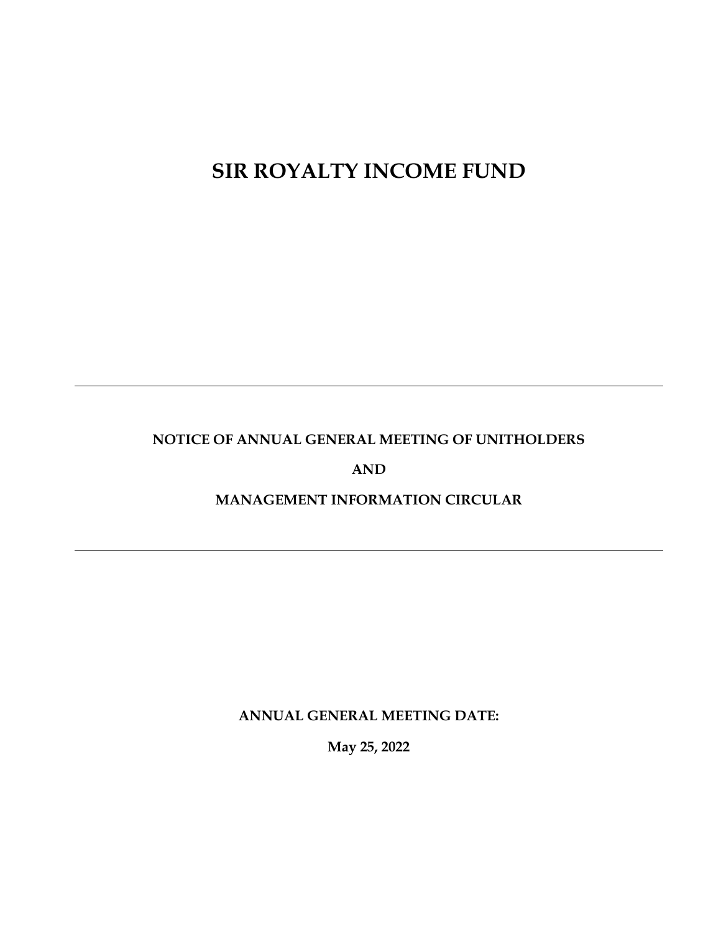# **SIR ROYALTY INCOME FUND**

# **NOTICE OF ANNUAL GENERAL MEETING OF UNITHOLDERS**

**AND**

# **MANAGEMENT INFORMATION CIRCULAR**

**ANNUAL GENERAL MEETING DATE:**

**May 25, 2022**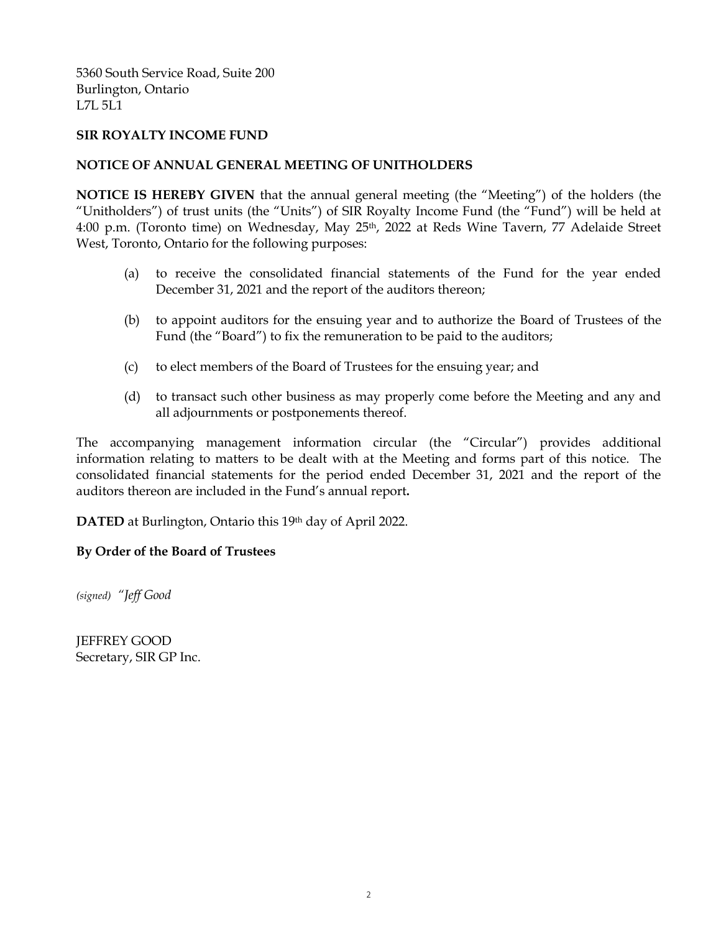5360 South Service Road, Suite 200 Burlington, Ontario L7L 5L1

# **SIR ROYALTY INCOME FUND**

# **NOTICE OF ANNUAL GENERAL MEETING OF UNITHOLDERS**

**NOTICE IS HEREBY GIVEN** that the annual general meeting (the "Meeting") of the holders (the "Unitholders") of trust units (the "Units") of SIR Royalty Income Fund (the "Fund") will be held at 4:00 p.m. (Toronto time) on Wednesday, May 25<sup>th</sup>, 2022 at Reds Wine Tavern, 77 Adelaide Street West, Toronto, Ontario for the following purposes:

- (a) to receive the consolidated financial statements of the Fund for the year ended December 31, 2021 and the report of the auditors thereon;
- (b) to appoint auditors for the ensuing year and to authorize the Board of Trustees of the Fund (the "Board") to fix the remuneration to be paid to the auditors;
- (c) to elect members of the Board of Trustees for the ensuing year; and
- (d) to transact such other business as may properly come before the Meeting and any and all adjournments or postponements thereof.

The accompanying management information circular (the "Circular") provides additional information relating to matters to be dealt with at the Meeting and forms part of this notice. The consolidated financial statements for the period ended December 31, 2021 and the report of the auditors thereon are included in the Fund's annual report**.**

**DATED** at Burlington, Ontario this 19th day of April 2022.

# **By Order of the Board of Trustees**

*(signed) "Jeff Good*

JEFFREY GOOD Secretary, SIR GP Inc.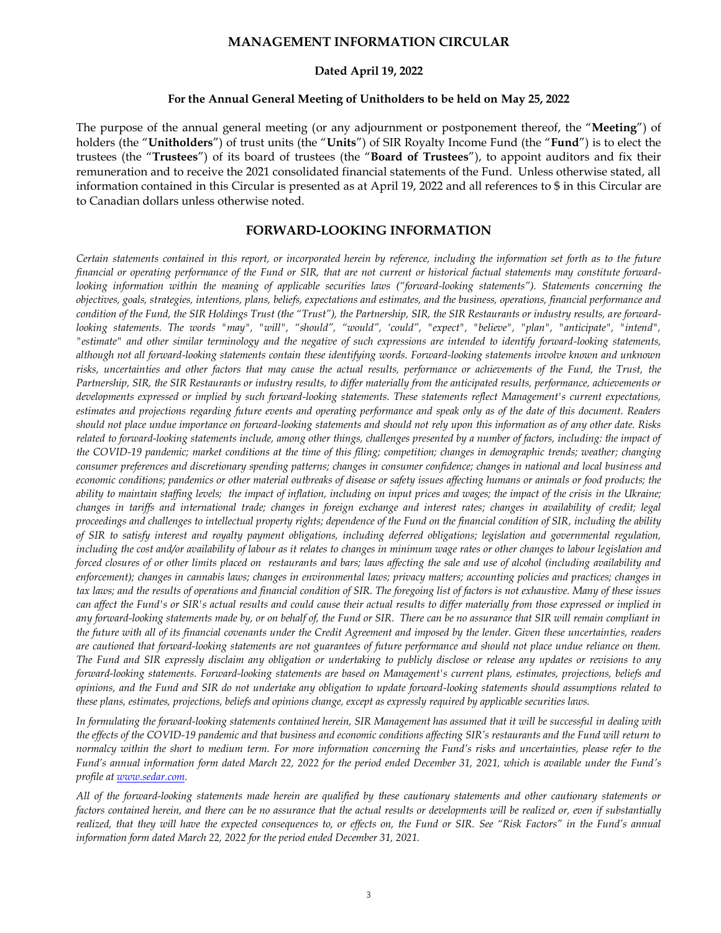#### **MANAGEMENT INFORMATION CIRCULAR**

#### **Dated April 19, 2022**

#### **For the Annual General Meeting of Unitholders to be held on May 25, 2022**

The purpose of the annual general meeting (or any adjournment or postponement thereof, the "**Meeting**") of holders (the "**Unitholders**") of trust units (the "**Units**") of SIR Royalty Income Fund (the "**Fund**") is to elect the trustees (the "**Trustees**") of its board of trustees (the "**Board of Trustees**"), to appoint auditors and fix their remuneration and to receive the 2021 consolidated financial statements of the Fund. Unless otherwise stated, all information contained in this Circular is presented as at April 19, 2022 and all references to \$ in this Circular are to Canadian dollars unless otherwise noted.

#### **FORWARD-LOOKING INFORMATION**

*Certain statements contained in this report, or incorporated herein by reference, including the information set forth as to the future financial or operating performance of the Fund or SIR, that are not current or historical factual statements may constitute forwardlooking information within the meaning of applicable securities laws ("forward-looking statements"). Statements concerning the objectives, goals, strategies, intentions, plans, beliefs, expectations and estimates, and the business, operations, financial performance and condition of the Fund, the SIR Holdings Trust (the "Trust"), the Partnership, SIR, the SIR Restaurants or industry results, are forwardlooking statements. The words "may", "will", "should", "would", 'could", "expect", "believe", "plan", "anticipate", "intend", "estimate" and other similar terminology and the negative of such expressions are intended to identify forward-looking statements, although not all forward-looking statements contain these identifying words. Forward-looking statements involve known and unknown risks, uncertainties and other factors that may cause the actual results, performance or achievements of the Fund, the Trust, the Partnership, SIR, the SIR Restaurants or industry results, to differ materially from the anticipated results, performance, achievements or developments expressed or implied by such forward-looking statements. These statements reflect Management's current expectations, estimates and projections regarding future events and operating performance and speak only as of the date of this document. Readers should not place undue importance on forward-looking statements and should not rely upon this information as of any other date. Risks*  related to forward-looking statements include, among other things, challenges presented by a number of factors, including: the impact of *the COVID-19 pandemic; market conditions at the time of this filing; competition; changes in demographic trends; weather; changing consumer preferences and discretionary spending patterns; changes in consumer confidence; changes in national and local business and economic conditions; pandemics or other material outbreaks of disease or safety issues affecting humans or animals or food products; the ability to maintain staffing levels; the impact of inflation, including on input prices and wages; the impact of the crisis in the Ukraine; changes in tariffs and international trade; changes in foreign exchange and interest rates; changes in availability of credit; legal proceedings and challenges to intellectual property rights; dependence of the Fund on the financial condition of SIR, including the ability of SIR to satisfy interest and royalty payment obligations, including deferred obligations; legislation and governmental regulation, including the cost and/or availability of labour as it relates to changes in minimum wage rates or other changes to labour legislation and forced closures of or other limits placed on restaurants and bars; laws affecting the sale and use of alcohol (including availability and enforcement); changes in cannabis laws; changes in environmental laws; privacy matters; accounting policies and practices; changes in tax laws; and the results of operations and financial condition of SIR. The foregoing list of factors is not exhaustive. Many of these issues can affect the Fund's or SIR's actual results and could cause their actual results to differ materially from those expressed or implied in any forward-looking statements made by, or on behalf of, the Fund or SIR. There can be no assurance that SIR will remain compliant in the future with all of its financial covenants under the Credit Agreement and imposed by the lender. Given these uncertainties, readers are cautioned that forward-looking statements are not guarantees of future performance and should not place undue reliance on them. The Fund and SIR expressly disclaim any obligation or undertaking to publicly disclose or release any updates or revisions to any forward-looking statements. Forward-looking statements are based on Management's current plans, estimates, projections, beliefs and opinions, and the Fund and SIR do not undertake any obligation to update forward-looking statements should assumptions related to these plans, estimates, projections, beliefs and opinions change, except as expressly required by applicable securities laws.*

*In formulating the forward-looking statements contained herein, SIR Management has assumed that it will be successful in dealing with the effects of the COVID-19 pandemic and that business and economic conditions affecting SIR's restaurants and the Fund will return to normalcy within the short to medium term. For more information concerning the Fund's risks and uncertainties, please refer to the Fund's annual information form dated March 22, 2022 for the period ended December 31, 2021, which is available under the Fund's profile a[t www.sedar.com.](http://www.sedar.com/)*

*All of the forward-looking statements made herein are qualified by these cautionary statements and other cautionary statements or factors contained herein, and there can be no assurance that the actual results or developments will be realized or, even if substantially realized, that they will have the expected consequences to, or effects on, the Fund or SIR. See "Risk Factors" in the Fund's annual information form dated March 22, 2022 for the period ended December 31, 2021.*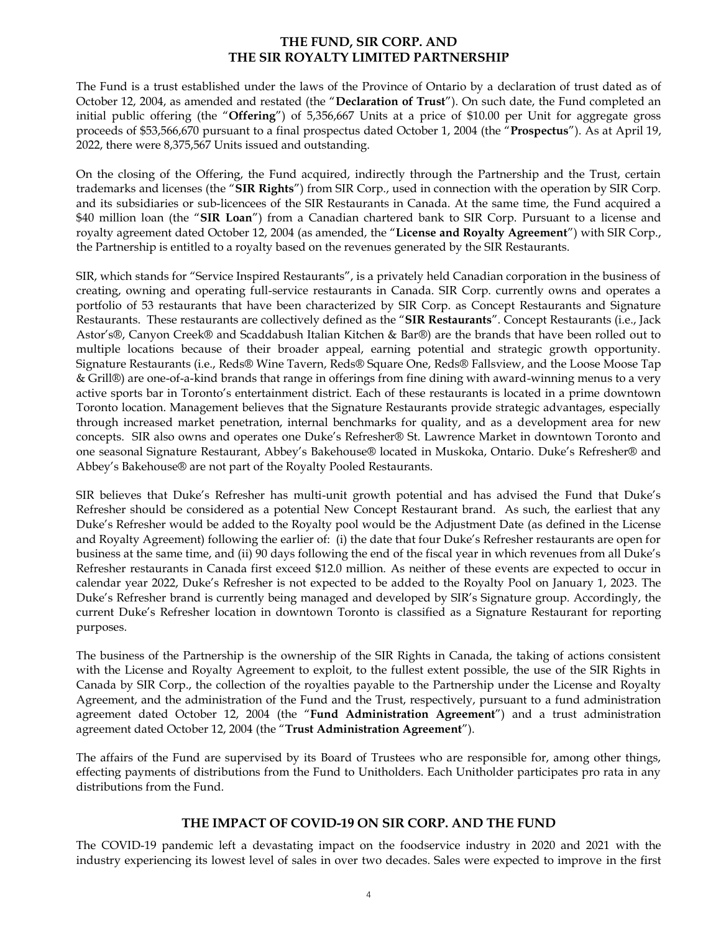# **THE FUND, SIR CORP. AND THE SIR ROYALTY LIMITED PARTNERSHIP**

The Fund is a trust established under the laws of the Province of Ontario by a declaration of trust dated as of October 12, 2004, as amended and restated (the "**Declaration of Trust**"). On such date, the Fund completed an initial public offering (the "**Offering**") of 5,356,667 Units at a price of \$10.00 per Unit for aggregate gross proceeds of \$53,566,670 pursuant to a final prospectus dated October 1, 2004 (the "**Prospectus**"). As at April 19, 2022, there were 8,375,567 Units issued and outstanding.

On the closing of the Offering, the Fund acquired, indirectly through the Partnership and the Trust, certain trademarks and licenses (the "**SIR Rights**") from SIR Corp., used in connection with the operation by SIR Corp. and its subsidiaries or sub-licencees of the SIR Restaurants in Canada. At the same time, the Fund acquired a \$40 million loan (the "**SIR Loan**") from a Canadian chartered bank to SIR Corp. Pursuant to a license and royalty agreement dated October 12, 2004 (as amended, the "**License and Royalty Agreement**") with SIR Corp., the Partnership is entitled to a royalty based on the revenues generated by the SIR Restaurants.

SIR, which stands for "Service Inspired Restaurants", is a privately held Canadian corporation in the business of creating, owning and operating full-service restaurants in Canada. SIR Corp. currently owns and operates a portfolio of 53 restaurants that have been characterized by SIR Corp. as Concept Restaurants and Signature Restaurants. These restaurants are collectively defined as the "**SIR Restaurants**". Concept Restaurants (i.e., Jack Astor's®, Canyon Creek® and Scaddabush Italian Kitchen & Bar®) are the brands that have been rolled out to multiple locations because of their broader appeal, earning potential and strategic growth opportunity. Signature Restaurants (i.e., Reds*®* Wine Tavern, Reds*®* Square One, Reds*®* Fallsview, and the Loose Moose Tap & Grill®) are one-of-a-kind brands that range in offerings from fine dining with award-winning menus to a very active sports bar in Toronto's entertainment district. Each of these restaurants is located in a prime downtown Toronto location. Management believes that the Signature Restaurants provide strategic advantages, especially through increased market penetration, internal benchmarks for quality, and as a development area for new concepts. SIR also owns and operates one Duke's Refresher® St. Lawrence Market in downtown Toronto and one seasonal Signature Restaurant, Abbey's Bakehouse® located in Muskoka, Ontario. Duke's Refresher® and Abbey's Bakehouse® are not part of the Royalty Pooled Restaurants.

SIR believes that Duke's Refresher has multi-unit growth potential and has advised the Fund that Duke's Refresher should be considered as a potential New Concept Restaurant brand. As such, the earliest that any Duke's Refresher would be added to the Royalty pool would be the Adjustment Date (as defined in the License and Royalty Agreement) following the earlier of: (i) the date that four Duke's Refresher restaurants are open for business at the same time, and (ii) 90 days following the end of the fiscal year in which revenues from all Duke's Refresher restaurants in Canada first exceed \$12.0 million. As neither of these events are expected to occur in calendar year 2022, Duke's Refresher is not expected to be added to the Royalty Pool on January 1, 2023. The Duke's Refresher brand is currently being managed and developed by SIR's Signature group. Accordingly, the current Duke's Refresher location in downtown Toronto is classified as a Signature Restaurant for reporting purposes.

The business of the Partnership is the ownership of the SIR Rights in Canada, the taking of actions consistent with the License and Royalty Agreement to exploit, to the fullest extent possible, the use of the SIR Rights in Canada by SIR Corp., the collection of the royalties payable to the Partnership under the License and Royalty Agreement, and the administration of the Fund and the Trust, respectively, pursuant to a fund administration agreement dated October 12, 2004 (the "**Fund Administration Agreement**") and a trust administration agreement dated October 12, 2004 (the "**Trust Administration Agreement**").

The affairs of the Fund are supervised by its Board of Trustees who are responsible for, among other things, effecting payments of distributions from the Fund to Unitholders. Each Unitholder participates pro rata in any distributions from the Fund.

# **THE IMPACT OF COVID-19 ON SIR CORP. AND THE FUND**

The COVID-19 pandemic left a devastating impact on the foodservice industry in 2020 and 2021 with the industry experiencing its lowest level of sales in over two decades. Sales were expected to improve in the first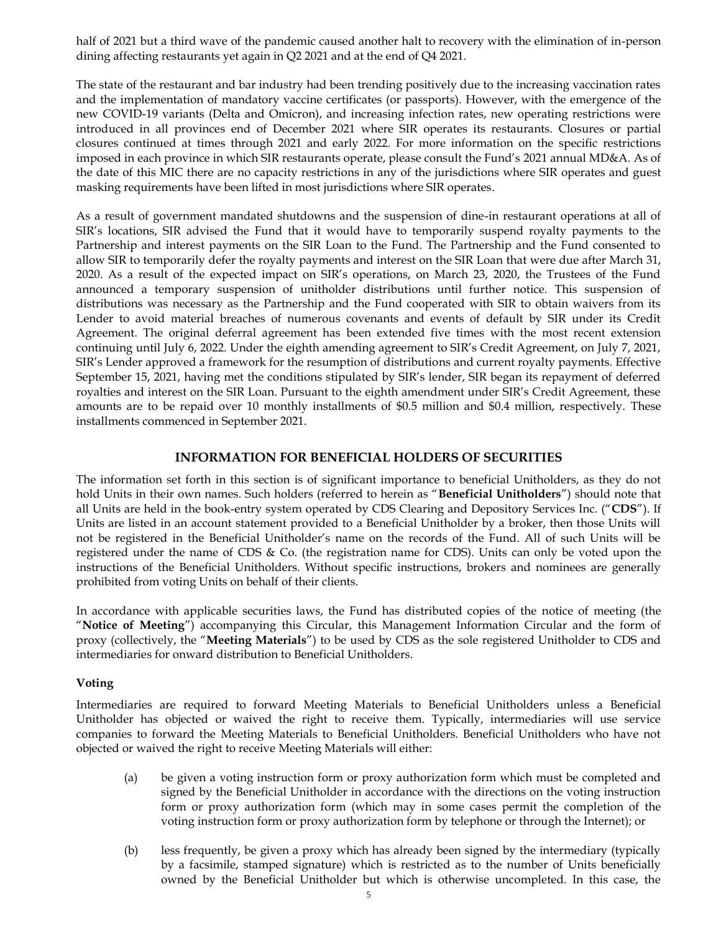half of 2021 but a third wave of the pandemic caused another halt to recovery with the elimination of in-person dining affecting restaurants yet again in Q2 2021 and at the end of Q4 2021.

The state of the restaurant and bar industry had been trending positively due to the increasing vaccination rates and the implementation of mandatory vaccine certificates (or passports). However, with the emergence of the new COVID-19 variants (Delta and Omicron), and increasing infection rates, new operating restrictions were introduced in all provinces end of December 2021 where SIR operates its restaurants. Closures or partial closures continued at times through 2021 and early 2022. For more information on the specific restrictions imposed in each province in which SIR restaurants operate, please consult the Fund's 2021 annual MD&A. As of the date of this MIC there are no capacity restrictions in any of the jurisdictions where SIR operates and guest masking requirements have been lifted in most jurisdictions where SIR operates.

As a result of government mandated shutdowns and the suspension of dine-in restaurant operations at all of SIR's locations, SIR advised the Fund that it would have to temporarily suspend royalty payments to the Partnership and interest payments on the SIR Loan to the Fund. The Partnership and the Fund consented to allow SIR to temporarily defer the royalty payments and interest on the SIR Loan that were due after March 31, 2020. As a result of the expected impact on SIR's operations, on March 23, 2020, the Trustees of the Fund announced a temporary suspension of unitholder distributions until further notice. This suspension of distributions was necessary as the Partnership and the Fund cooperated with SIR to obtain waivers from its Lender to avoid material breaches of numerous covenants and events of default by SIR under its Credit Agreement. The original deferral agreement has been extended five times with the most recent extension continuing until July 6, 2022. Under the eighth amending agreement to SIR's Credit Agreement, on July 7, 2021, SIR's Lender approved a framework for the resumption of distributions and current royalty payments. Effective September 15, 2021, having met the conditions stipulated by SIR's lender, SIR began its repayment of deferred royalties and interest on the SIR Loan. Pursuant to the eighth amendment under SIR's Credit Agreement, these amounts are to be repaid over 10 monthly installments of \$0.5 million and \$0.4 million, respectively. These installments commenced in September 2021.

# **INFORMATION FOR BENEFICIAL HOLDERS OF SECURITIES**

The information set forth in this section is of significant importance to beneficial Unitholders, as they do not hold Units in their own names. Such holders (referred to herein as "**Beneficial Unitholders**") should note that all Units are held in the book-entry system operated by CDS Clearing and Depository Services Inc. ("**CDS**"). If Units are listed in an account statement provided to a Beneficial Unitholder by a broker, then those Units will not be registered in the Beneficial Unitholder's name on the records of the Fund. All of such Units will be registered under the name of CDS & Co. (the registration name for CDS). Units can only be voted upon the instructions of the Beneficial Unitholders. Without specific instructions, brokers and nominees are generally prohibited from voting Units on behalf of their clients.

In accordance with applicable securities laws, the Fund has distributed copies of the notice of meeting (the "**Notice of Meeting**") accompanying this Circular, this Management Information Circular and the form of proxy (collectively, the "**Meeting Materials**") to be used by CDS as the sole registered Unitholder to CDS and intermediaries for onward distribution to Beneficial Unitholders.

#### **Voting**

Intermediaries are required to forward Meeting Materials to Beneficial Unitholders unless a Beneficial Unitholder has objected or waived the right to receive them. Typically, intermediaries will use service companies to forward the Meeting Materials to Beneficial Unitholders. Beneficial Unitholders who have not objected or waived the right to receive Meeting Materials will either:

- (a) be given a voting instruction form or proxy authorization form which must be completed and signed by the Beneficial Unitholder in accordance with the directions on the voting instruction form or proxy authorization form (which may in some cases permit the completion of the voting instruction form or proxy authorization form by telephone or through the Internet); or
- (b) less frequently, be given a proxy which has already been signed by the intermediary (typically by a facsimile, stamped signature) which is restricted as to the number of Units beneficially owned by the Beneficial Unitholder but which is otherwise uncompleted. In this case, the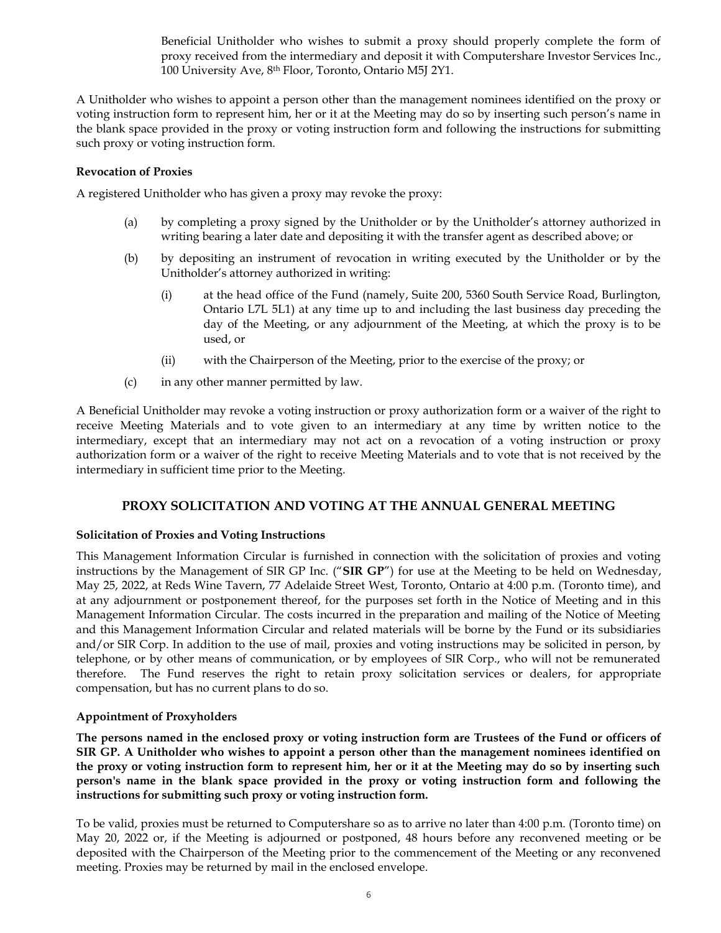Beneficial Unitholder who wishes to submit a proxy should properly complete the form of proxy received from the intermediary and deposit it with Computershare Investor Services Inc., 100 University Ave, 8<sup>th</sup> Floor, Toronto, Ontario M5J 2Y1.

A Unitholder who wishes to appoint a person other than the management nominees identified on the proxy or voting instruction form to represent him, her or it at the Meeting may do so by inserting such person's name in the blank space provided in the proxy or voting instruction form and following the instructions for submitting such proxy or voting instruction form.

#### **Revocation of Proxies**

A registered Unitholder who has given a proxy may revoke the proxy:

- (a) by completing a proxy signed by the Unitholder or by the Unitholder's attorney authorized in writing bearing a later date and depositing it with the transfer agent as described above; or
- (b) by depositing an instrument of revocation in writing executed by the Unitholder or by the Unitholder's attorney authorized in writing:
	- (i) at the head office of the Fund (namely, Suite 200, 5360 South Service Road, Burlington, Ontario L7L 5L1) at any time up to and including the last business day preceding the day of the Meeting, or any adjournment of the Meeting, at which the proxy is to be used, or
	- (ii) with the Chairperson of the Meeting, prior to the exercise of the proxy; or
- (c) in any other manner permitted by law.

A Beneficial Unitholder may revoke a voting instruction or proxy authorization form or a waiver of the right to receive Meeting Materials and to vote given to an intermediary at any time by written notice to the intermediary, except that an intermediary may not act on a revocation of a voting instruction or proxy authorization form or a waiver of the right to receive Meeting Materials and to vote that is not received by the intermediary in sufficient time prior to the Meeting.

# **PROXY SOLICITATION AND VOTING AT THE ANNUAL GENERAL MEETING**

#### **Solicitation of Proxies and Voting Instructions**

This Management Information Circular is furnished in connection with the solicitation of proxies and voting instructions by the Management of SIR GP Inc. ("**SIR GP**") for use at the Meeting to be held on Wednesday, May 25, 2022, at Reds Wine Tavern, 77 Adelaide Street West, Toronto, Ontario at 4:00 p.m. (Toronto time), and at any adjournment or postponement thereof, for the purposes set forth in the Notice of Meeting and in this Management Information Circular. The costs incurred in the preparation and mailing of the Notice of Meeting and this Management Information Circular and related materials will be borne by the Fund or its subsidiaries and/or SIR Corp. In addition to the use of mail, proxies and voting instructions may be solicited in person, by telephone, or by other means of communication, or by employees of SIR Corp., who will not be remunerated therefore. The Fund reserves the right to retain proxy solicitation services or dealers, for appropriate compensation, but has no current plans to do so.

# **Appointment of Proxyholders**

**The persons named in the enclosed proxy or voting instruction form are Trustees of the Fund or officers of SIR GP. A Unitholder who wishes to appoint a person other than the management nominees identified on the proxy or voting instruction form to represent him, her or it at the Meeting may do so by inserting such person's name in the blank space provided in the proxy or voting instruction form and following the instructions for submitting such proxy or voting instruction form.** 

To be valid, proxies must be returned to Computershare so as to arrive no later than 4:00 p.m. (Toronto time) on May 20, 2022 or, if the Meeting is adjourned or postponed, 48 hours before any reconvened meeting or be deposited with the Chairperson of the Meeting prior to the commencement of the Meeting or any reconvened meeting. Proxies may be returned by mail in the enclosed envelope.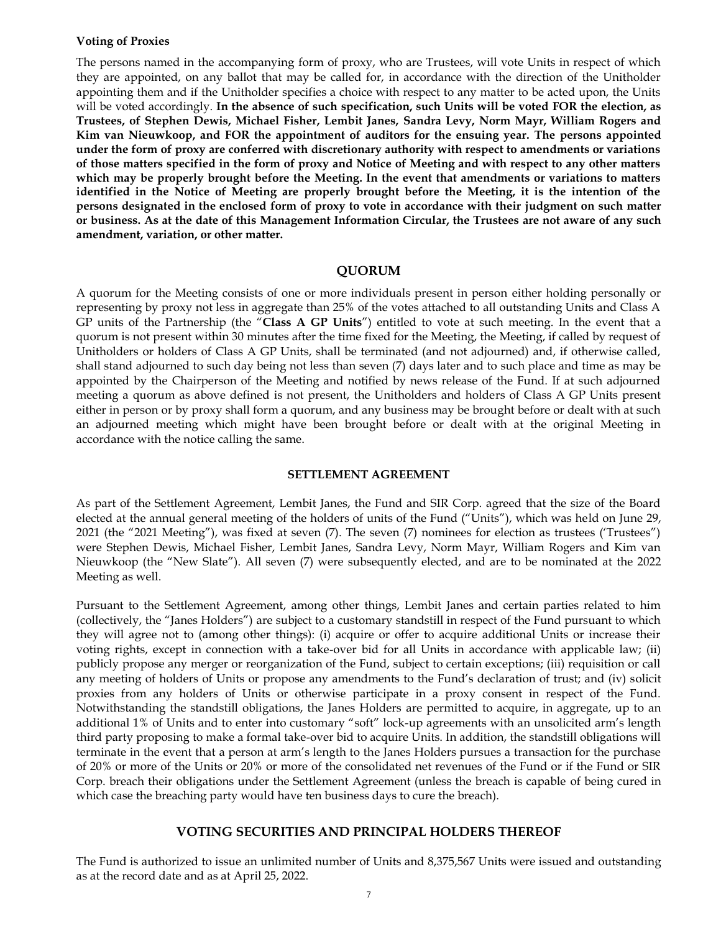#### **Voting of Proxies**

The persons named in the accompanying form of proxy, who are Trustees, will vote Units in respect of which they are appointed, on any ballot that may be called for, in accordance with the direction of the Unitholder appointing them and if the Unitholder specifies a choice with respect to any matter to be acted upon, the Units will be voted accordingly. **In the absence of such specification, such Units will be voted FOR the election, as Trustees, of Stephen Dewis, Michael Fisher, Lembit Janes, Sandra Levy, Norm Mayr, William Rogers and Kim van Nieuwkoop, and FOR the appointment of auditors for the ensuing year. The persons appointed under the form of proxy are conferred with discretionary authority with respect to amendments or variations of those matters specified in the form of proxy and Notice of Meeting and with respect to any other matters which may be properly brought before the Meeting. In the event that amendments or variations to matters identified in the Notice of Meeting are properly brought before the Meeting, it is the intention of the persons designated in the enclosed form of proxy to vote in accordance with their judgment on such matter or business. As at the date of this Management Information Circular, the Trustees are not aware of any such amendment, variation, or other matter.**

#### **QUORUM**

A quorum for the Meeting consists of one or more individuals present in person either holding personally or representing by proxy not less in aggregate than 25% of the votes attached to all outstanding Units and Class A GP units of the Partnership (the "**Class A GP Units**") entitled to vote at such meeting. In the event that a quorum is not present within 30 minutes after the time fixed for the Meeting, the Meeting, if called by request of Unitholders or holders of Class A GP Units, shall be terminated (and not adjourned) and, if otherwise called, shall stand adjourned to such day being not less than seven (7) days later and to such place and time as may be appointed by the Chairperson of the Meeting and notified by news release of the Fund. If at such adjourned meeting a quorum as above defined is not present, the Unitholders and holders of Class A GP Units present either in person or by proxy shall form a quorum, and any business may be brought before or dealt with at such an adjourned meeting which might have been brought before or dealt with at the original Meeting in accordance with the notice calling the same.

#### **SETTLEMENT AGREEMENT**

As part of the Settlement Agreement, Lembit Janes, the Fund and SIR Corp. agreed that the size of the Board elected at the annual general meeting of the holders of units of the Fund ("Units"), which was held on June 29, 2021 (the "2021 Meeting"), was fixed at seven (7). The seven (7) nominees for election as trustees ('Trustees") were Stephen Dewis, Michael Fisher, Lembit Janes, Sandra Levy, Norm Mayr, William Rogers and Kim van Nieuwkoop (the "New Slate"). All seven (7) were subsequently elected, and are to be nominated at the 2022 Meeting as well.

Pursuant to the Settlement Agreement, among other things, Lembit Janes and certain parties related to him (collectively, the "Janes Holders") are subject to a customary standstill in respect of the Fund pursuant to which they will agree not to (among other things): (i) acquire or offer to acquire additional Units or increase their voting rights, except in connection with a take-over bid for all Units in accordance with applicable law; (ii) publicly propose any merger or reorganization of the Fund, subject to certain exceptions; (iii) requisition or call any meeting of holders of Units or propose any amendments to the Fund's declaration of trust; and (iv) solicit proxies from any holders of Units or otherwise participate in a proxy consent in respect of the Fund. Notwithstanding the standstill obligations, the Janes Holders are permitted to acquire, in aggregate, up to an additional 1% of Units and to enter into customary "soft" lock-up agreements with an unsolicited arm's length third party proposing to make a formal take-over bid to acquire Units. In addition, the standstill obligations will terminate in the event that a person at arm's length to the Janes Holders pursues a transaction for the purchase of 20% or more of the Units or 20% or more of the consolidated net revenues of the Fund or if the Fund or SIR Corp. breach their obligations under the Settlement Agreement (unless the breach is capable of being cured in which case the breaching party would have ten business days to cure the breach).

#### **VOTING SECURITIES AND PRINCIPAL HOLDERS THEREOF**

The Fund is authorized to issue an unlimited number of Units and 8,375,567 Units were issued and outstanding as at the record date and as at April 25, 2022.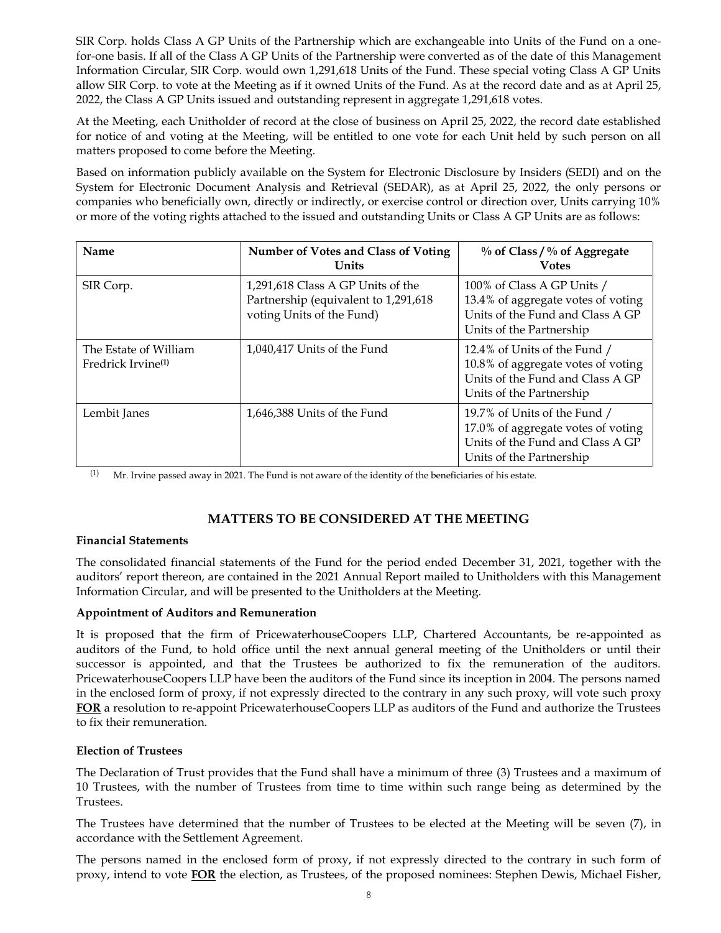SIR Corp. holds Class A GP Units of the Partnership which are exchangeable into Units of the Fund on a onefor-one basis. If all of the Class A GP Units of the Partnership were converted as of the date of this Management Information Circular, SIR Corp. would own 1,291,618 Units of the Fund. These special voting Class A GP Units allow SIR Corp. to vote at the Meeting as if it owned Units of the Fund. As at the record date and as at April 25, 2022, the Class A GP Units issued and outstanding represent in aggregate 1,291,618 votes.

At the Meeting, each Unitholder of record at the close of business on April 25, 2022, the record date established for notice of and voting at the Meeting, will be entitled to one vote for each Unit held by such person on all matters proposed to come before the Meeting.

Based on information publicly available on the System for Electronic Disclosure by Insiders (SEDI) and on the System for Electronic Document Analysis and Retrieval (SEDAR), as at April 25, 2022, the only persons or companies who beneficially own, directly or indirectly, or exercise control or direction over, Units carrying 10% or more of the voting rights attached to the issued and outstanding Units or Class A GP Units are as follows:

| Name                                                    | Number of Votes and Class of Voting<br>Units                                                            | $\%$ of Class / $\%$ of Aggregate<br><b>Votes</b>                                                                                  |
|---------------------------------------------------------|---------------------------------------------------------------------------------------------------------|------------------------------------------------------------------------------------------------------------------------------------|
| SIR Corp.                                               | 1,291,618 Class A GP Units of the<br>Partnership (equivalent to 1,291,618)<br>voting Units of the Fund) | 100% of Class A GP Units /<br>13.4% of aggregate votes of voting<br>Units of the Fund and Class A GP<br>Units of the Partnership   |
| The Estate of William<br>Fredrick Irvine <sup>(1)</sup> | 1,040,417 Units of the Fund                                                                             | 12.4% of Units of the Fund /<br>10.8% of aggregate votes of voting<br>Units of the Fund and Class A GP<br>Units of the Partnership |
| Lembit Janes                                            | 1,646,388 Units of the Fund                                                                             | 19.7% of Units of the Fund /<br>17.0% of aggregate votes of voting<br>Units of the Fund and Class A GP<br>Units of the Partnership |

(1) Mr. Irvine passed away in 2021. The Fund is not aware of the identity of the beneficiaries of his estate.

# **MATTERS TO BE CONSIDERED AT THE MEETING**

#### **Financial Statements**

The consolidated financial statements of the Fund for the period ended December 31, 2021, together with the auditors' report thereon, are contained in the 2021 Annual Report mailed to Unitholders with this Management Information Circular, and will be presented to the Unitholders at the Meeting.

#### **Appointment of Auditors and Remuneration**

It is proposed that the firm of PricewaterhouseCoopers LLP, Chartered Accountants, be re-appointed as auditors of the Fund, to hold office until the next annual general meeting of the Unitholders or until their successor is appointed, and that the Trustees be authorized to fix the remuneration of the auditors. PricewaterhouseCoopers LLP have been the auditors of the Fund since its inception in 2004. The persons named in the enclosed form of proxy, if not expressly directed to the contrary in any such proxy, will vote such proxy **FOR** a resolution to re-appoint PricewaterhouseCoopers LLP as auditors of the Fund and authorize the Trustees to fix their remuneration.

#### **Election of Trustees**

The Declaration of Trust provides that the Fund shall have a minimum of three (3) Trustees and a maximum of 10 Trustees, with the number of Trustees from time to time within such range being as determined by the Trustees.

The Trustees have determined that the number of Trustees to be elected at the Meeting will be seven (7), in accordance with the Settlement Agreement.

The persons named in the enclosed form of proxy, if not expressly directed to the contrary in such form of proxy, intend to vote **FOR** the election, as Trustees, of the proposed nominees: Stephen Dewis, Michael Fisher,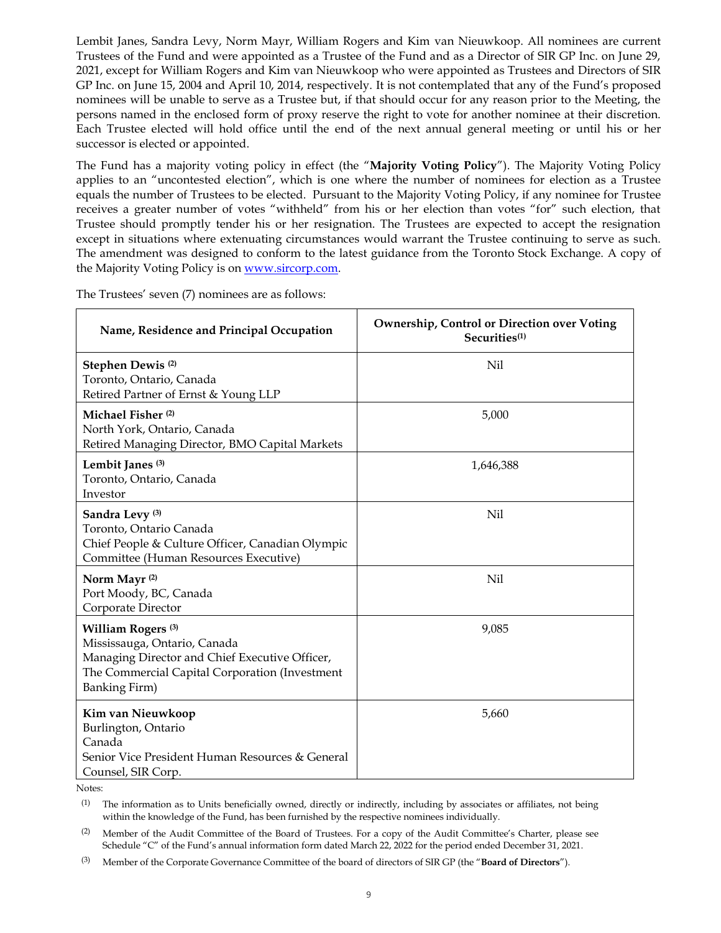Lembit Janes, Sandra Levy, Norm Mayr, William Rogers and Kim van Nieuwkoop. All nominees are current Trustees of the Fund and were appointed as a Trustee of the Fund and as a Director of SIR GP Inc. on June 29, 2021, except for William Rogers and Kim van Nieuwkoop who were appointed as Trustees and Directors of SIR GP Inc. on June 15, 2004 and April 10, 2014, respectively. It is not contemplated that any of the Fund's proposed nominees will be unable to serve as a Trustee but, if that should occur for any reason prior to the Meeting, the persons named in the enclosed form of proxy reserve the right to vote for another nominee at their discretion. Each Trustee elected will hold office until the end of the next annual general meeting or until his or her successor is elected or appointed.

The Fund has a majority voting policy in effect (the "**Majority Voting Policy**"). The Majority Voting Policy applies to an "uncontested election", which is one where the number of nominees for election as a Trustee equals the number of Trustees to be elected. Pursuant to the Majority Voting Policy, if any nominee for Trustee receives a greater number of votes "withheld" from his or her election than votes "for" such election, that Trustee should promptly tender his or her resignation. The Trustees are expected to accept the resignation except in situations where extenuating circumstances would warrant the Trustee continuing to serve as such. The amendment was designed to conform to the latest guidance from the Toronto Stock Exchange. A copy of the Majority Voting Policy is o[n www.sircorp.com.](http://www.sircorp.com/)

| Name, Residence and Principal Occupation                                                                                                                                                  | <b>Ownership, Control or Direction over Voting</b><br>Securities <sup>(1)</sup> |  |
|-------------------------------------------------------------------------------------------------------------------------------------------------------------------------------------------|---------------------------------------------------------------------------------|--|
| Stephen Dewis <sup>(2)</sup><br>Toronto, Ontario, Canada<br>Retired Partner of Ernst & Young LLP                                                                                          | Nil                                                                             |  |
| Michael Fisher <sup>(2)</sup><br>North York, Ontario, Canada<br>Retired Managing Director, BMO Capital Markets                                                                            | 5,000                                                                           |  |
| Lembit Janes <sup>(3)</sup><br>Toronto, Ontario, Canada<br>Investor                                                                                                                       | 1,646,388                                                                       |  |
| Sandra Levy <sup>(3)</sup><br>Toronto, Ontario Canada<br>Chief People & Culture Officer, Canadian Olympic<br>Committee (Human Resources Executive)                                        | Nil.                                                                            |  |
| Norm Mayr <sup>(2)</sup><br>Port Moody, BC, Canada<br>Corporate Director                                                                                                                  | Nil                                                                             |  |
| William Rogers <sup>(3)</sup><br>Mississauga, Ontario, Canada<br>Managing Director and Chief Executive Officer,<br>The Commercial Capital Corporation (Investment<br><b>Banking Firm)</b> | 9,085                                                                           |  |
| Kim van Nieuwkoop<br>Burlington, Ontario<br>Canada<br>Senior Vice President Human Resources & General<br>Counsel, SIR Corp.                                                               | 5,660                                                                           |  |

The Trustees' seven (7) nominees are as follows:

Notes:

 $(1)$  The information as to Units beneficially owned, directly or indirectly, including by associates or affiliates, not being within the knowledge of the Fund, has been furnished by the respective nominees individually.

(2) Member of the Audit Committee of the Board of Trustees. For a copy of the Audit Committee's Charter, please see Schedule "C" of the Fund's annual information form dated March 22, 2022 for the period ended December 31, 2021.

(3) Member of the Corporate Governance Committee of the board of directors of SIR GP (the "**Board of Directors**").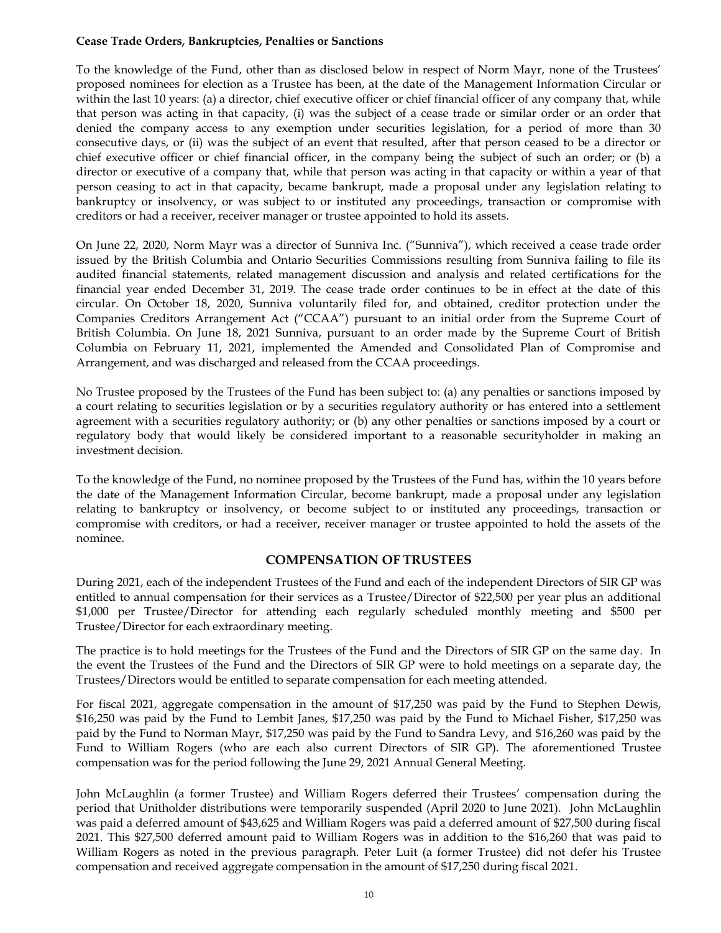#### **Cease Trade Orders, Bankruptcies, Penalties or Sanctions**

To the knowledge of the Fund, other than as disclosed below in respect of Norm Mayr, none of the Trustees' proposed nominees for election as a Trustee has been, at the date of the Management Information Circular or within the last 10 years: (a) a director, chief executive officer or chief financial officer of any company that, while that person was acting in that capacity, (i) was the subject of a cease trade or similar order or an order that denied the company access to any exemption under securities legislation, for a period of more than 30 consecutive days, or (ii) was the subject of an event that resulted, after that person ceased to be a director or chief executive officer or chief financial officer, in the company being the subject of such an order; or (b) a director or executive of a company that, while that person was acting in that capacity or within a year of that person ceasing to act in that capacity, became bankrupt, made a proposal under any legislation relating to bankruptcy or insolvency, or was subject to or instituted any proceedings, transaction or compromise with creditors or had a receiver, receiver manager or trustee appointed to hold its assets.

On June 22, 2020, Norm Mayr was a director of Sunniva Inc. ("Sunniva"), which received a cease trade order issued by the British Columbia and Ontario Securities Commissions resulting from Sunniva failing to file its audited financial statements, related management discussion and analysis and related certifications for the financial year ended December 31, 2019. The cease trade order continues to be in effect at the date of this circular. On October 18, 2020, Sunniva voluntarily filed for, and obtained, creditor protection under the Companies Creditors Arrangement Act ("CCAA") pursuant to an initial order from the Supreme Court of British Columbia. On June 18, 2021 Sunniva, pursuant to an order made by the Supreme Court of British Columbia on February 11, 2021, implemented the Amended and Consolidated Plan of Compromise and Arrangement, and was discharged and released from the CCAA proceedings.

No Trustee proposed by the Trustees of the Fund has been subject to: (a) any penalties or sanctions imposed by a court relating to securities legislation or by a securities regulatory authority or has entered into a settlement agreement with a securities regulatory authority; or (b) any other penalties or sanctions imposed by a court or regulatory body that would likely be considered important to a reasonable securityholder in making an investment decision.

To the knowledge of the Fund, no nominee proposed by the Trustees of the Fund has, within the 10 years before the date of the Management Information Circular, become bankrupt, made a proposal under any legislation relating to bankruptcy or insolvency, or become subject to or instituted any proceedings, transaction or compromise with creditors, or had a receiver, receiver manager or trustee appointed to hold the assets of the nominee.

# **COMPENSATION OF TRUSTEES**

During 2021, each of the independent Trustees of the Fund and each of the independent Directors of SIR GP was entitled to annual compensation for their services as a Trustee/Director of \$22,500 per year plus an additional \$1,000 per Trustee/Director for attending each regularly scheduled monthly meeting and \$500 per Trustee/Director for each extraordinary meeting.

The practice is to hold meetings for the Trustees of the Fund and the Directors of SIR GP on the same day. In the event the Trustees of the Fund and the Directors of SIR GP were to hold meetings on a separate day, the Trustees/Directors would be entitled to separate compensation for each meeting attended.

For fiscal 2021, aggregate compensation in the amount of \$17,250 was paid by the Fund to Stephen Dewis, \$16,250 was paid by the Fund to Lembit Janes, \$17,250 was paid by the Fund to Michael Fisher, \$17,250 was paid by the Fund to Norman Mayr, \$17,250 was paid by the Fund to Sandra Levy, and \$16,260 was paid by the Fund to William Rogers (who are each also current Directors of SIR GP). The aforementioned Trustee compensation was for the period following the June 29, 2021 Annual General Meeting.

John McLaughlin (a former Trustee) and William Rogers deferred their Trustees' compensation during the period that Unitholder distributions were temporarily suspended (April 2020 to June 2021). John McLaughlin was paid a deferred amount of \$43,625 and William Rogers was paid a deferred amount of \$27,500 during fiscal 2021. This \$27,500 deferred amount paid to William Rogers was in addition to the \$16,260 that was paid to William Rogers as noted in the previous paragraph. Peter Luit (a former Trustee) did not defer his Trustee compensation and received aggregate compensation in the amount of \$17,250 during fiscal 2021.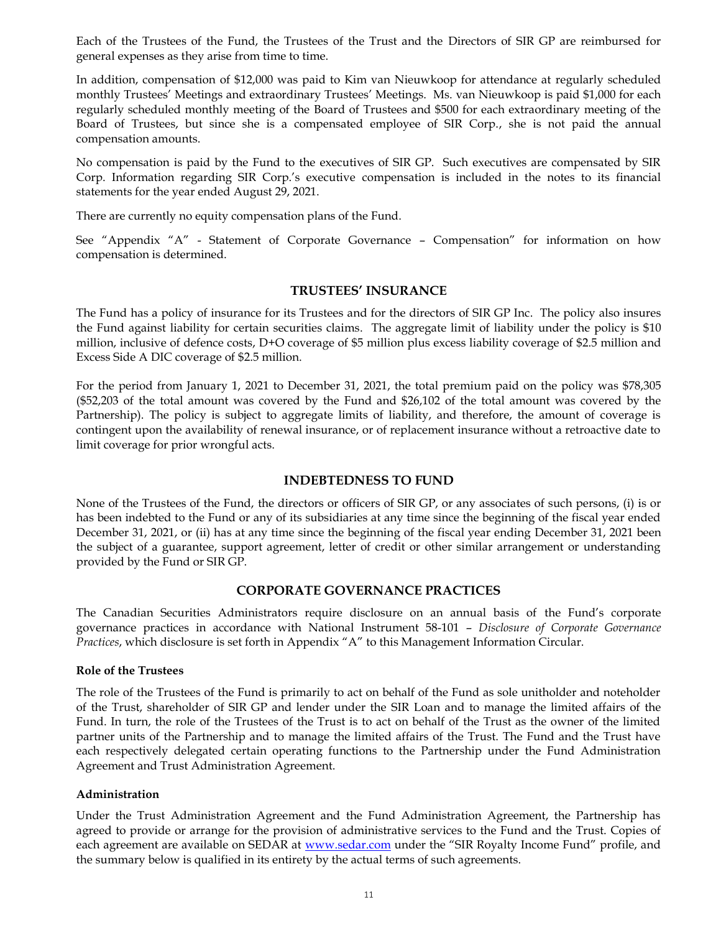Each of the Trustees of the Fund, the Trustees of the Trust and the Directors of SIR GP are reimbursed for general expenses as they arise from time to time.

In addition, compensation of \$12,000 was paid to Kim van Nieuwkoop for attendance at regularly scheduled monthly Trustees' Meetings and extraordinary Trustees' Meetings. Ms. van Nieuwkoop is paid \$1,000 for each regularly scheduled monthly meeting of the Board of Trustees and \$500 for each extraordinary meeting of the Board of Trustees, but since she is a compensated employee of SIR Corp., she is not paid the annual compensation amounts.

No compensation is paid by the Fund to the executives of SIR GP. Such executives are compensated by SIR Corp. Information regarding SIR Corp.'s executive compensation is included in the notes to its financial statements for the year ended August 29, 2021.

There are currently no equity compensation plans of the Fund.

See "Appendix "A" - Statement of Corporate Governance – Compensation" for information on how compensation is determined.

#### **TRUSTEES' INSURANCE**

The Fund has a policy of insurance for its Trustees and for the directors of SIR GP Inc. The policy also insures the Fund against liability for certain securities claims. The aggregate limit of liability under the policy is \$10 million, inclusive of defence costs, D+O coverage of \$5 million plus excess liability coverage of \$2.5 million and Excess Side A DIC coverage of \$2.5 million.

For the period from January 1, 2021 to December 31, 2021, the total premium paid on the policy was \$78,305 (\$52,203 of the total amount was covered by the Fund and \$26,102 of the total amount was covered by the Partnership). The policy is subject to aggregate limits of liability, and therefore, the amount of coverage is contingent upon the availability of renewal insurance, or of replacement insurance without a retroactive date to limit coverage for prior wrongful acts.

#### **INDEBTEDNESS TO FUND**

None of the Trustees of the Fund, the directors or officers of SIR GP, or any associates of such persons, (i) is or has been indebted to the Fund or any of its subsidiaries at any time since the beginning of the fiscal year ended December 31, 2021, or (ii) has at any time since the beginning of the fiscal year ending December 31, 2021 been the subject of a guarantee, support agreement, letter of credit or other similar arrangement or understanding provided by the Fund or SIR GP.

#### **CORPORATE GOVERNANCE PRACTICES**

The Canadian Securities Administrators require disclosure on an annual basis of the Fund's corporate governance practices in accordance with National Instrument 58-101 – *Disclosure of Corporate Governance Practices*, which disclosure is set forth in Appendix "[A](#page-14-0)" to this Management Information Circular.

#### **Role of the Trustees**

The role of the Trustees of the Fund is primarily to act on behalf of the Fund as sole unitholder and noteholder of the Trust, shareholder of SIR GP and lender under the SIR Loan and to manage the limited affairs of the Fund. In turn, the role of the Trustees of the Trust is to act on behalf of the Trust as the owner of the limited partner units of the Partnership and to manage the limited affairs of the Trust. The Fund and the Trust have each respectively delegated certain operating functions to the Partnership under the Fund Administration Agreement and Trust Administration Agreement.

#### **Administration**

Under the Trust Administration Agreement and the Fund Administration Agreement, the Partnership has agreed to provide or arrange for the provision of administrative services to the Fund and the Trust. Copies of each agreement are available on SEDAR at [www.sedar.com](http://www.sedar.com/) under the "SIR Royalty Income Fund" profile, and the summary below is qualified in its entirety by the actual terms of such agreements.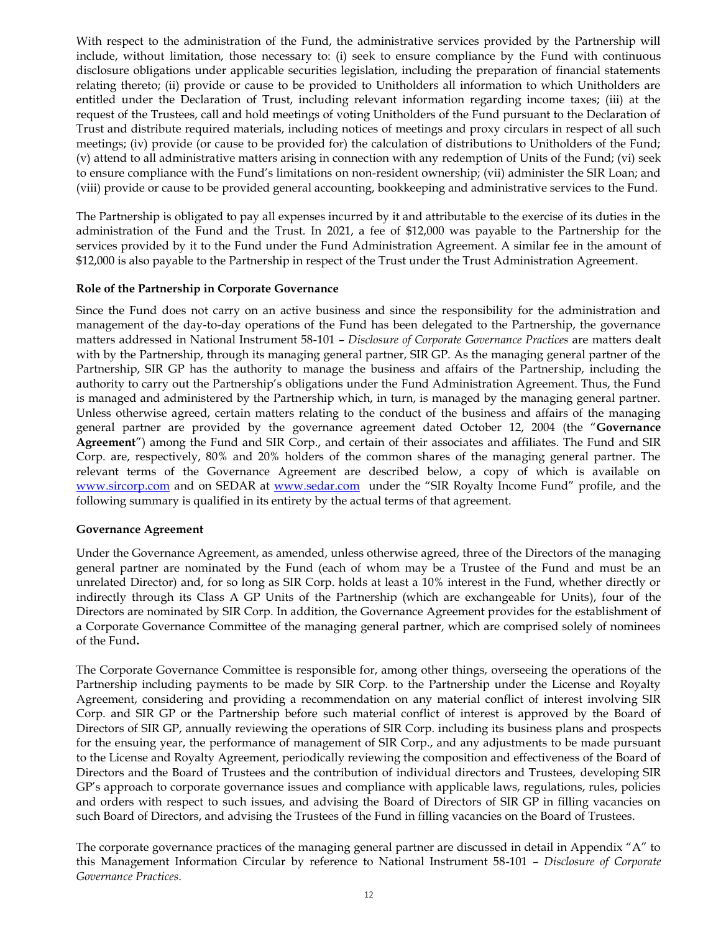With respect to the administration of the Fund, the administrative services provided by the Partnership will include, without limitation, those necessary to: (i) seek to ensure compliance by the Fund with continuous disclosure obligations under applicable securities legislation, including the preparation of financial statements relating thereto; (ii) provide or cause to be provided to Unitholders all information to which Unitholders are entitled under the Declaration of Trust, including relevant information regarding income taxes; (iii) at the request of the Trustees, call and hold meetings of voting Unitholders of the Fund pursuant to the Declaration of Trust and distribute required materials, including notices of meetings and proxy circulars in respect of all such meetings; (iv) provide (or cause to be provided for) the calculation of distributions to Unitholders of the Fund; (v) attend to all administrative matters arising in connection with any redemption of Units of the Fund; (vi) seek to ensure compliance with the Fund's limitations on non-resident ownership; (vii) administer the SIR Loan; and (viii) provide or cause to be provided general accounting, bookkeeping and administrative services to the Fund.

The Partnership is obligated to pay all expenses incurred by it and attributable to the exercise of its duties in the administration of the Fund and the Trust. In 2021, a fee of \$12,000 was payable to the Partnership for the services provided by it to the Fund under the Fund Administration Agreement. A similar fee in the amount of \$12,000 is also payable to the Partnership in respect of the Trust under the Trust Administration Agreement.

#### **Role of the Partnership in Corporate Governance**

Since the Fund does not carry on an active business and since the responsibility for the administration and management of the day-to-day operations of the Fund has been delegated to the Partnership, the governance matters addressed in National Instrument 58-101 – *Disclosure of Corporate Governance Practices* are matters dealt with by the Partnership, through its managing general partner, SIR GP. As the managing general partner of the Partnership, SIR GP has the authority to manage the business and affairs of the Partnership, including the authority to carry out the Partnership's obligations under the Fund Administration Agreement. Thus, the Fund is managed and administered by the Partnership which, in turn, is managed by the managing general partner. Unless otherwise agreed, certain matters relating to the conduct of the business and affairs of the managing general partner are provided by the governance agreement dated October 12, 2004 (the "**Governance Agreement**") among the Fund and SIR Corp., and certain of their associates and affiliates. The Fund and SIR Corp. are, respectively, 80% and 20% holders of the common shares of the managing general partner. The relevant terms of the Governance Agreement are described below, a copy of which is available on [www.sircorp.com](http://www.sircorp.com/) and on SEDAR at [www.sedar.com](http://www.sedar.com/) under the "SIR Royalty Income Fund" profile, and the following summary is qualified in its entirety by the actual terms of that agreement.

#### **Governance Agreement**

Under the Governance Agreement, as amended, unless otherwise agreed, three of the Directors of the managing general partner are nominated by the Fund (each of whom may be a Trustee of the Fund and must be an unrelated Director) and, for so long as SIR Corp. holds at least a 10% interest in the Fund, whether directly or indirectly through its Class A GP Units of the Partnership (which are exchangeable for Units), four of the Directors are nominated by SIR Corp. In addition, the Governance Agreement provides for the establishment of a Corporate Governance Committee of the managing general partner, which are comprised solely of nominees of the Fund**.** 

The Corporate Governance Committee is responsible for, among other things, overseeing the operations of the Partnership including payments to be made by SIR Corp. to the Partnership under the License and Royalty Agreement, considering and providing a recommendation on any material conflict of interest involving SIR Corp. and SIR GP or the Partnership before such material conflict of interest is approved by the Board of Directors of SIR GP, annually reviewing the operations of SIR Corp. including its business plans and prospects for the ensuing year, the performance of management of SIR Corp., and any adjustments to be made pursuant to the License and Royalty Agreement, periodically reviewing the composition and effectiveness of the Board of Directors and the Board of Trustees and the contribution of individual directors and Trustees, developing SIR GP's approach to corporate governance issues and compliance with applicable laws, regulations, rules, policies and orders with respect to such issues, and advising the Board of Directors of SIR GP in filling vacancies on such Board of Directors, and advising the Trustees of the Fund in filling vacancies on the Board of Trustees.

The corporate governance practices of the managing general partner are discussed in detail in Appendix "A" to this Management Information Circular by reference to National Instrument 58-101 – *Disclosure of Corporate Governance Practices*.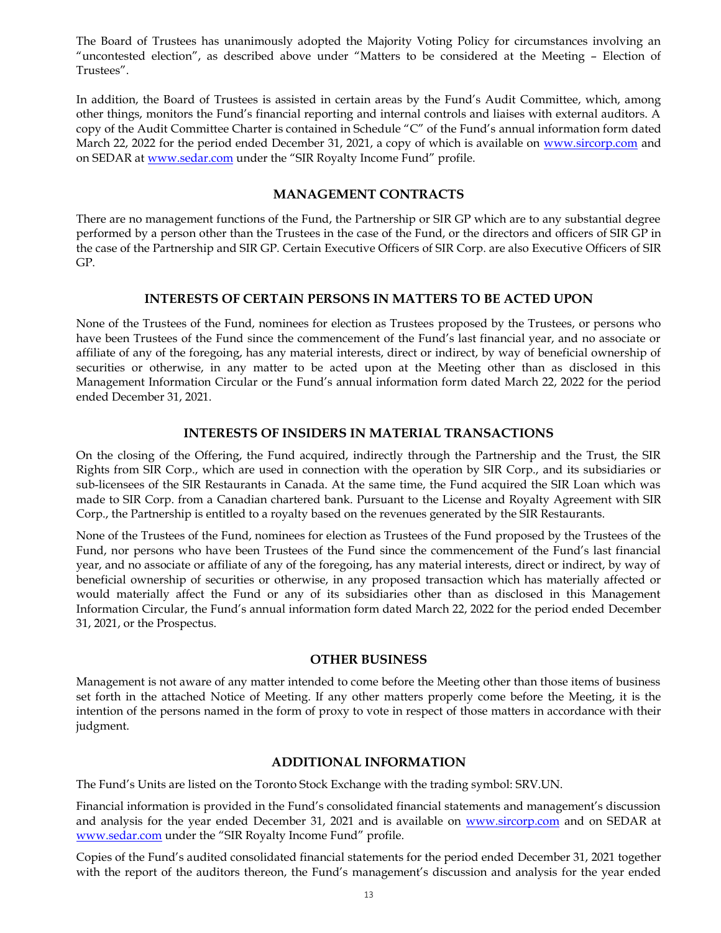The Board of Trustees has unanimously adopted the Majority Voting Policy for circumstances involving an "uncontested election", as described above under "Matters to be considered at the Meeting – Election of Trustees".

In addition, the Board of Trustees is assisted in certain areas by the Fund's Audit Committee, which, among other things, monitors the Fund's financial reporting and internal controls and liaises with external auditors. A copy of the Audit Committee Charter is contained in Schedule "C" of the Fund's annual information form dated March 22, 2022 for the period ended December 31, 2021, a copy of which is available on [www.sircorp.com](http://www.sircorp.com/) and on SEDAR at [www.sedar.com](http://www.sedar.com/) under the "SIR Royalty Income Fund" profile.

## **MANAGEMENT CONTRACTS**

There are no management functions of the Fund, the Partnership or SIR GP which are to any substantial degree performed by a person other than the Trustees in the case of the Fund, or the directors and officers of SIR GP in the case of the Partnership and SIR GP. Certain Executive Officers of SIR Corp. are also Executive Officers of SIR GP.

#### **INTERESTS OF CERTAIN PERSONS IN MATTERS TO BE ACTED UPON**

None of the Trustees of the Fund, nominees for election as Trustees proposed by the Trustees, or persons who have been Trustees of the Fund since the commencement of the Fund's last financial year, and no associate or affiliate of any of the foregoing, has any material interests, direct or indirect, by way of beneficial ownership of securities or otherwise, in any matter to be acted upon at the Meeting other than as disclosed in this Management Information Circular or the Fund's annual information form dated March 22, 2022 for the period ended December 31, 2021.

### **INTERESTS OF INSIDERS IN MATERIAL TRANSACTIONS**

On the closing of the Offering, the Fund acquired, indirectly through the Partnership and the Trust, the SIR Rights from SIR Corp., which are used in connection with the operation by SIR Corp., and its subsidiaries or sub-licensees of the SIR Restaurants in Canada. At the same time, the Fund acquired the SIR Loan which was made to SIR Corp. from a Canadian chartered bank. Pursuant to the License and Royalty Agreement with SIR Corp., the Partnership is entitled to a royalty based on the revenues generated by the SIR Restaurants.

None of the Trustees of the Fund, nominees for election as Trustees of the Fund proposed by the Trustees of the Fund, nor persons who have been Trustees of the Fund since the commencement of the Fund's last financial year, and no associate or affiliate of any of the foregoing, has any material interests, direct or indirect, by way of beneficial ownership of securities or otherwise, in any proposed transaction which has materially affected or would materially affect the Fund or any of its subsidiaries other than as disclosed in this Management Information Circular, the Fund's annual information form dated March 22, 2022 for the period ended December 31, 2021, or the Prospectus.

#### **OTHER BUSINESS**

Management is not aware of any matter intended to come before the Meeting other than those items of business set forth in the attached Notice of Meeting. If any other matters properly come before the Meeting, it is the intention of the persons named in the form of proxy to vote in respect of those matters in accordance with their judgment.

#### **ADDITIONAL INFORMATION**

The Fund's Units are listed on the Toronto Stock Exchange with the trading symbol: SRV.UN.

Financial information is provided in the Fund's consolidated financial statements and management's discussion and analysis for the year ended December 31, 2021 and is available on [www.sircorp.com](http://www.sircorp.com/) and on SEDAR at [www.sedar.com](http://www.sedar.com/) under the "SIR Royalty Income Fund" profile.

Copies of the Fund's audited consolidated financial statements for the period ended December 31, 2021 together with the report of the auditors thereon, the Fund's management's discussion and analysis for the year ended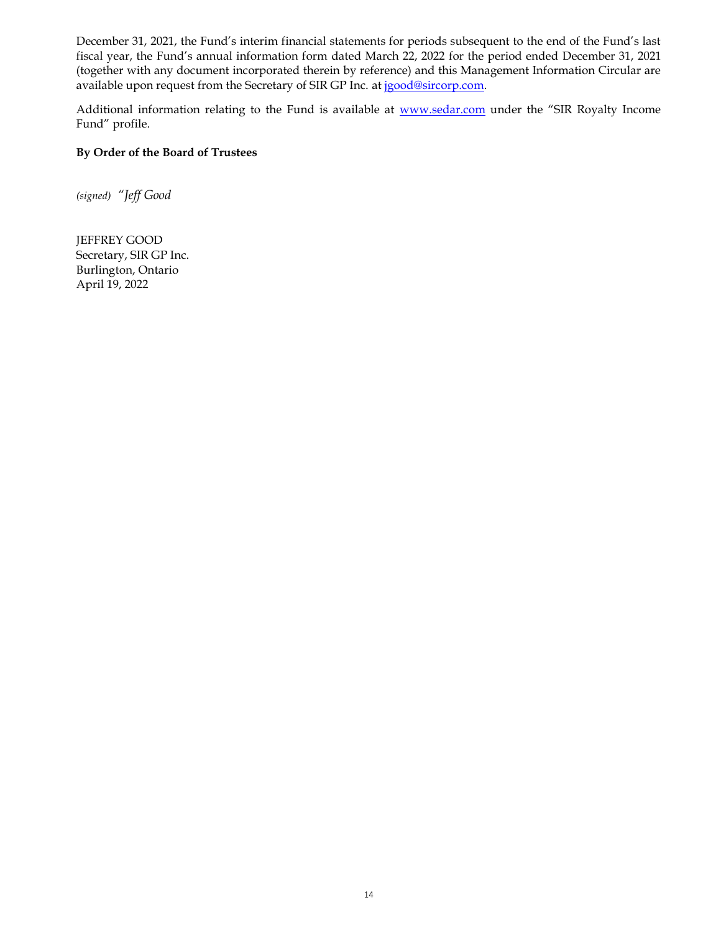December 31, 2021, the Fund's interim financial statements for periods subsequent to the end of the Fund's last fiscal year, the Fund's annual information form dated March 22, 2022 for the period ended December 31, 2021 (together with any document incorporated therein by reference) and this Management Information Circular are available upon request from the Secretary of SIR GP Inc. at [jgood@sircorp.com.](mailto:jgood@sircorp.com)

Additional information relating to the Fund is available at **www.sedar.com** under the "SIR Royalty Income Fund" profile.

## **By Order of the Board of Trustees**

*(signed) "Jeff Good*

JEFFREY GOOD Secretary, SIR GP Inc. Burlington, Ontario April 19, 2022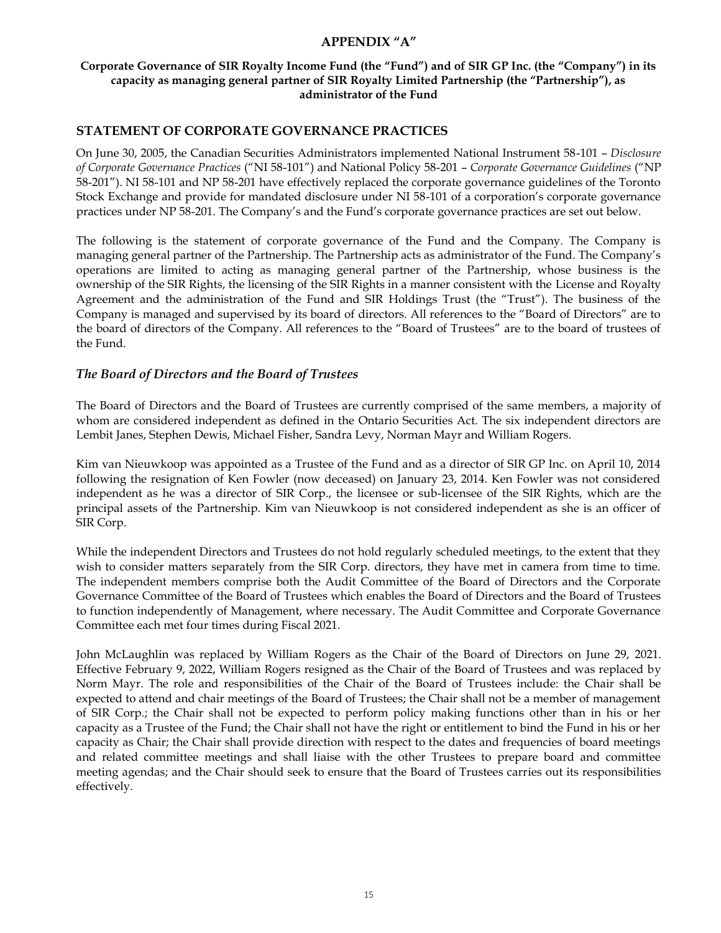# <span id="page-14-0"></span>**APPENDIX "A"**

# **Corporate Governance of SIR Royalty Income Fund (the "Fund") and of SIR GP Inc. (the "Company") in its capacity as managing general partner of SIR Royalty Limited Partnership (the "Partnership"), as administrator of the Fund**

# **STATEMENT OF CORPORATE GOVERNANCE PRACTICES**

On June 30, 2005, the Canadian Securities Administrators implemented National Instrument 58-101 – *Disclosure of Corporate Governance Practices* ("NI 58-101") and National Policy 58-201 – *Corporate Governance Guidelines* ("NP 58-201"). NI 58-101 and NP 58-201 have effectively replaced the corporate governance guidelines of the Toronto Stock Exchange and provide for mandated disclosure under NI 58-101 of a corporation's corporate governance practices under NP 58-201. The Company's and the Fund's corporate governance practices are set out below.

The following is the statement of corporate governance of the Fund and the Company. The Company is managing general partner of the Partnership. The Partnership acts as administrator of the Fund. The Company's operations are limited to acting as managing general partner of the Partnership, whose business is the ownership of the SIR Rights, the licensing of the SIR Rights in a manner consistent with the License and Royalty Agreement and the administration of the Fund and SIR Holdings Trust (the "Trust"). The business of the Company is managed and supervised by its board of directors. All references to the "Board of Directors" are to the board of directors of the Company. All references to the "Board of Trustees" are to the board of trustees of the Fund.

# *The Board of Directors and the Board of Trustees*

The Board of Directors and the Board of Trustees are currently comprised of the same members, a majority of whom are considered independent as defined in the Ontario Securities Act. The six independent directors are Lembit Janes, Stephen Dewis, Michael Fisher, Sandra Levy, Norman Mayr and William Rogers.

Kim van Nieuwkoop was appointed as a Trustee of the Fund and as a director of SIR GP Inc. on April 10, 2014 following the resignation of Ken Fowler (now deceased) on January 23, 2014. Ken Fowler was not considered independent as he was a director of SIR Corp., the licensee or sub-licensee of the SIR Rights, which are the principal assets of the Partnership. Kim van Nieuwkoop is not considered independent as she is an officer of SIR Corp.

While the independent Directors and Trustees do not hold regularly scheduled meetings, to the extent that they wish to consider matters separately from the SIR Corp. directors, they have met in camera from time to time. The independent members comprise both the Audit Committee of the Board of Directors and the Corporate Governance Committee of the Board of Trustees which enables the Board of Directors and the Board of Trustees to function independently of Management, where necessary. The Audit Committee and Corporate Governance Committee each met four times during Fiscal 2021.

John McLaughlin was replaced by William Rogers as the Chair of the Board of Directors on June 29, 2021. Effective February 9, 2022, William Rogers resigned as the Chair of the Board of Trustees and was replaced by Norm Mayr. The role and responsibilities of the Chair of the Board of Trustees include: the Chair shall be expected to attend and chair meetings of the Board of Trustees; the Chair shall not be a member of management of SIR Corp.; the Chair shall not be expected to perform policy making functions other than in his or her capacity as a Trustee of the Fund; the Chair shall not have the right or entitlement to bind the Fund in his or her capacity as Chair; the Chair shall provide direction with respect to the dates and frequencies of board meetings and related committee meetings and shall liaise with the other Trustees to prepare board and committee meeting agendas; and the Chair should seek to ensure that the Board of Trustees carries out its responsibilities effectively.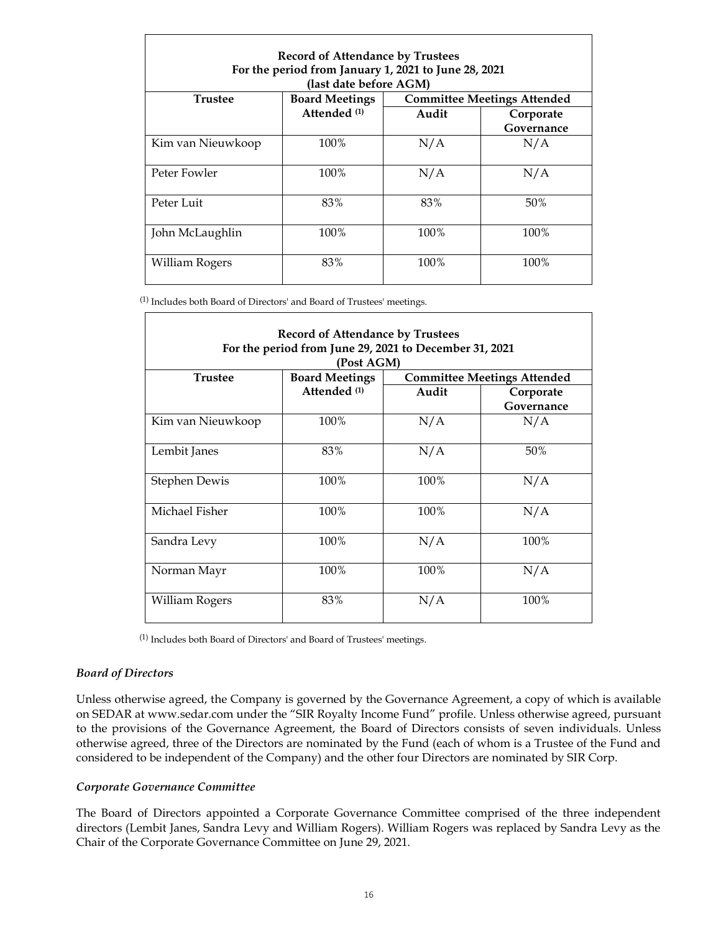| For the period from January 1, 2021 to June 28, 2021<br>(last date before AGM) |                                       |                                    |                         |  |  |
|--------------------------------------------------------------------------------|---------------------------------------|------------------------------------|-------------------------|--|--|
| <b>Trustee</b>                                                                 | <b>Board Meetings</b><br>Attended (1) | <b>Committee Meetings Attended</b> |                         |  |  |
|                                                                                |                                       | Audit                              | Corporate<br>Governance |  |  |
| Kim van Nieuwkoop                                                              | 100%                                  | N/A                                | N/A                     |  |  |
| Peter Fowler                                                                   | 100%                                  | N/A                                | N/A                     |  |  |
| Peter Luit                                                                     | 83%                                   | 83%                                | 50%                     |  |  |
| John McLaughlin                                                                | 100%                                  | 100%                               | 100%                    |  |  |
| William Rogers                                                                 | 83%                                   | 100%                               | 100%                    |  |  |

(1) Includes both Board of Directors' and Board of Trustees' meetings.

| <b>Record of Attendance by Trustees</b><br>For the period from June 29, 2021 to December 31, 2021<br>(Post AGM) |                         |       |                         |  |  |
|-----------------------------------------------------------------------------------------------------------------|-------------------------|-------|-------------------------|--|--|
|                                                                                                                 |                         |       |                         |  |  |
|                                                                                                                 | Attended <sup>(1)</sup> | Audit | Corporate<br>Governance |  |  |
| Kim van Nieuwkoop                                                                                               | 100%                    | N/A   | N/A                     |  |  |
| Lembit Janes                                                                                                    | 83%                     | N/A   | 50%                     |  |  |
| Stephen Dewis                                                                                                   | 100%                    | 100%  | N/A                     |  |  |
| Michael Fisher                                                                                                  | 100%                    | 100%  | N/A                     |  |  |
| Sandra Levy                                                                                                     | 100%                    | N/A   | 100%                    |  |  |
| Norman Mayr                                                                                                     | 100%                    | 100%  | N/A                     |  |  |
| William Rogers                                                                                                  | 83%                     | N/A   | 100%                    |  |  |

(1) Includes both Board of Directors' and Board of Trustees' meetings.

#### *Board of Directors*

Unless otherwise agreed, the Company is governed by the Governance Agreement, a copy of which is available on SEDAR at www.sedar.com under the "SIR Royalty Income Fund" profile. Unless otherwise agreed, pursuant to the provisions of the Governance Agreement, the Board of Directors consists of seven individuals. Unless otherwise agreed, three of the Directors are nominated by the Fund (each of whom is a Trustee of the Fund and considered to be independent of the Company) and the other four Directors are nominated by SIR Corp.

#### *Corporate Governance Committee*

The Board of Directors appointed a Corporate Governance Committee comprised of the three independent directors (Lembit Janes, Sandra Levy and William Rogers). William Rogers was replaced by Sandra Levy as the Chair of the Corporate Governance Committee on June 29, 2021.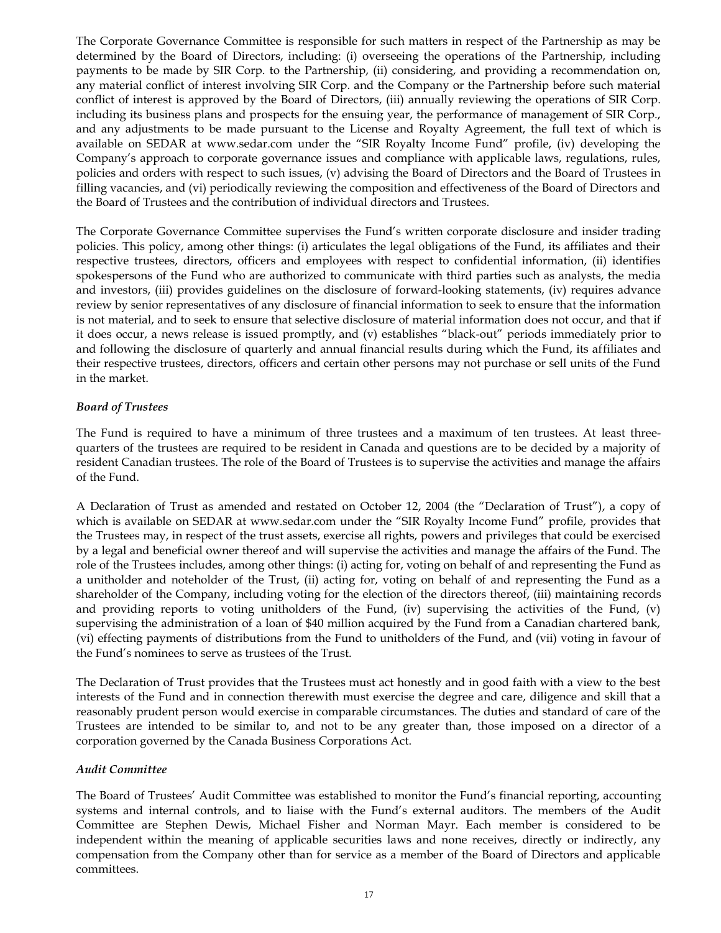The Corporate Governance Committee is responsible for such matters in respect of the Partnership as may be determined by the Board of Directors, including: (i) overseeing the operations of the Partnership, including payments to be made by SIR Corp. to the Partnership, (ii) considering, and providing a recommendation on, any material conflict of interest involving SIR Corp. and the Company or the Partnership before such material conflict of interest is approved by the Board of Directors, (iii) annually reviewing the operations of SIR Corp. including its business plans and prospects for the ensuing year, the performance of management of SIR Corp., and any adjustments to be made pursuant to the License and Royalty Agreement, the full text of which is available on SEDAR at www.sedar.com under the "SIR Royalty Income Fund" profile, (iv) developing the Company's approach to corporate governance issues and compliance with applicable laws, regulations, rules, policies and orders with respect to such issues, (v) advising the Board of Directors and the Board of Trustees in filling vacancies, and (vi) periodically reviewing the composition and effectiveness of the Board of Directors and the Board of Trustees and the contribution of individual directors and Trustees.

The Corporate Governance Committee supervises the Fund's written corporate disclosure and insider trading policies. This policy, among other things: (i) articulates the legal obligations of the Fund, its affiliates and their respective trustees, directors, officers and employees with respect to confidential information, (ii) identifies spokespersons of the Fund who are authorized to communicate with third parties such as analysts, the media and investors, (iii) provides guidelines on the disclosure of forward-looking statements, (iv) requires advance review by senior representatives of any disclosure of financial information to seek to ensure that the information is not material, and to seek to ensure that selective disclosure of material information does not occur, and that if it does occur, a news release is issued promptly, and (v) establishes "black-out" periods immediately prior to and following the disclosure of quarterly and annual financial results during which the Fund, its affiliates and their respective trustees, directors, officers and certain other persons may not purchase or sell units of the Fund in the market.

#### *Board of Trustees*

The Fund is required to have a minimum of three trustees and a maximum of ten trustees. At least threequarters of the trustees are required to be resident in Canada and questions are to be decided by a majority of resident Canadian trustees. The role of the Board of Trustees is to supervise the activities and manage the affairs of the Fund.

A Declaration of Trust as amended and restated on October 12, 2004 (the "Declaration of Trust"), a copy of which is available on SEDAR at www.sedar.com under the "SIR Royalty Income Fund" profile, provides that the Trustees may, in respect of the trust assets, exercise all rights, powers and privileges that could be exercised by a legal and beneficial owner thereof and will supervise the activities and manage the affairs of the Fund. The role of the Trustees includes, among other things: (i) acting for, voting on behalf of and representing the Fund as a unitholder and noteholder of the Trust, (ii) acting for, voting on behalf of and representing the Fund as a shareholder of the Company, including voting for the election of the directors thereof, (iii) maintaining records and providing reports to voting unitholders of the Fund, (iv) supervising the activities of the Fund,  $(v)$ supervising the administration of a loan of \$40 million acquired by the Fund from a Canadian chartered bank, (vi) effecting payments of distributions from the Fund to unitholders of the Fund, and (vii) voting in favour of the Fund's nominees to serve as trustees of the Trust.

The Declaration of Trust provides that the Trustees must act honestly and in good faith with a view to the best interests of the Fund and in connection therewith must exercise the degree and care, diligence and skill that a reasonably prudent person would exercise in comparable circumstances. The duties and standard of care of the Trustees are intended to be similar to, and not to be any greater than, those imposed on a director of a corporation governed by the Canada Business Corporations Act.

#### *Audit Committee*

The Board of Trustees' Audit Committee was established to monitor the Fund's financial reporting, accounting systems and internal controls, and to liaise with the Fund's external auditors. The members of the Audit Committee are Stephen Dewis, Michael Fisher and Norman Mayr. Each member is considered to be independent within the meaning of applicable securities laws and none receives, directly or indirectly, any compensation from the Company other than for service as a member of the Board of Directors and applicable committees.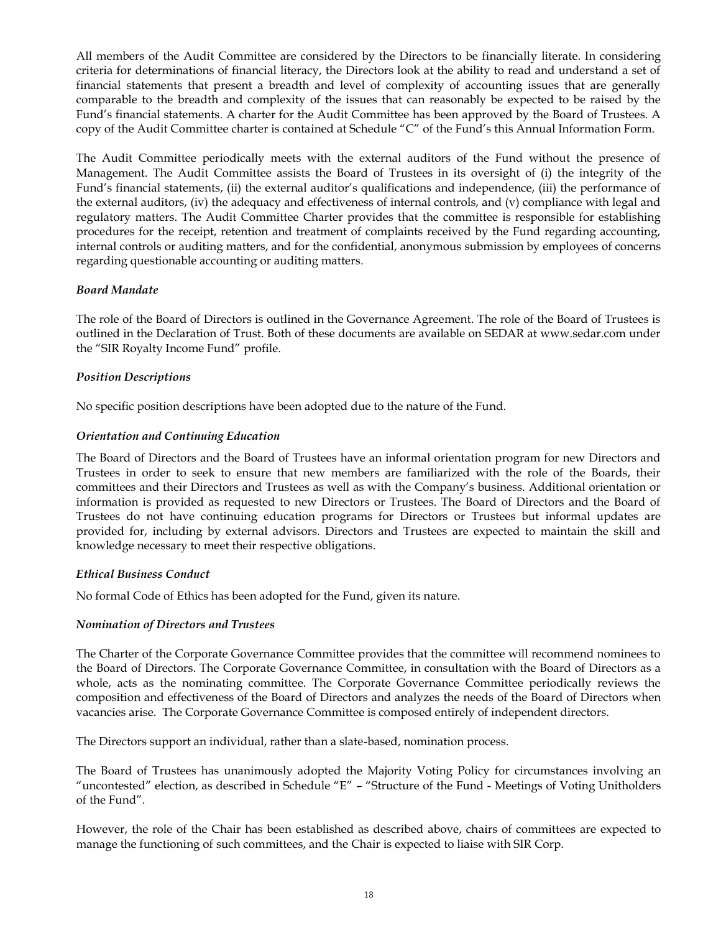All members of the Audit Committee are considered by the Directors to be financially literate. In considering criteria for determinations of financial literacy, the Directors look at the ability to read and understand a set of financial statements that present a breadth and level of complexity of accounting issues that are generally comparable to the breadth and complexity of the issues that can reasonably be expected to be raised by the Fund's financial statements. A charter for the Audit Committee has been approved by the Board of Trustees. A copy of the Audit Committee charter is contained at Schedule "C" of the Fund's this Annual Information Form.

The Audit Committee periodically meets with the external auditors of the Fund without the presence of Management. The Audit Committee assists the Board of Trustees in its oversight of (i) the integrity of the Fund's financial statements, (ii) the external auditor's qualifications and independence, (iii) the performance of the external auditors, (iv) the adequacy and effectiveness of internal controls, and (v) compliance with legal and regulatory matters. The Audit Committee Charter provides that the committee is responsible for establishing procedures for the receipt, retention and treatment of complaints received by the Fund regarding accounting, internal controls or auditing matters, and for the confidential, anonymous submission by employees of concerns regarding questionable accounting or auditing matters.

#### *Board Mandate*

The role of the Board of Directors is outlined in the Governance Agreement. The role of the Board of Trustees is outlined in the Declaration of Trust. Both of these documents are available on SEDAR at www.sedar.com under the "SIR Royalty Income Fund" profile.

#### *Position Descriptions*

No specific position descriptions have been adopted due to the nature of the Fund.

#### *Orientation and Continuing Education*

The Board of Directors and the Board of Trustees have an informal orientation program for new Directors and Trustees in order to seek to ensure that new members are familiarized with the role of the Boards, their committees and their Directors and Trustees as well as with the Company's business. Additional orientation or information is provided as requested to new Directors or Trustees. The Board of Directors and the Board of Trustees do not have continuing education programs for Directors or Trustees but informal updates are provided for, including by external advisors. Directors and Trustees are expected to maintain the skill and knowledge necessary to meet their respective obligations.

#### *Ethical Business Conduct*

No formal Code of Ethics has been adopted for the Fund, given its nature.

#### *Nomination of Directors and Trustees*

The Charter of the Corporate Governance Committee provides that the committee will recommend nominees to the Board of Directors. The Corporate Governance Committee, in consultation with the Board of Directors as a whole, acts as the nominating committee. The Corporate Governance Committee periodically reviews the composition and effectiveness of the Board of Directors and analyzes the needs of the Board of Directors when vacancies arise.The Corporate Governance Committee is composed entirely of independent directors.

The Directors support an individual, rather than a slate-based, nomination process.

The Board of Trustees has unanimously adopted the Majority Voting Policy for circumstances involving an "uncontested" election, as described in Schedule "E" – "Structure of the Fund - Meetings of Voting Unitholders of the Fund".

However, the role of the Chair has been established as described above, chairs of committees are expected to manage the functioning of such committees, and the Chair is expected to liaise with SIR Corp.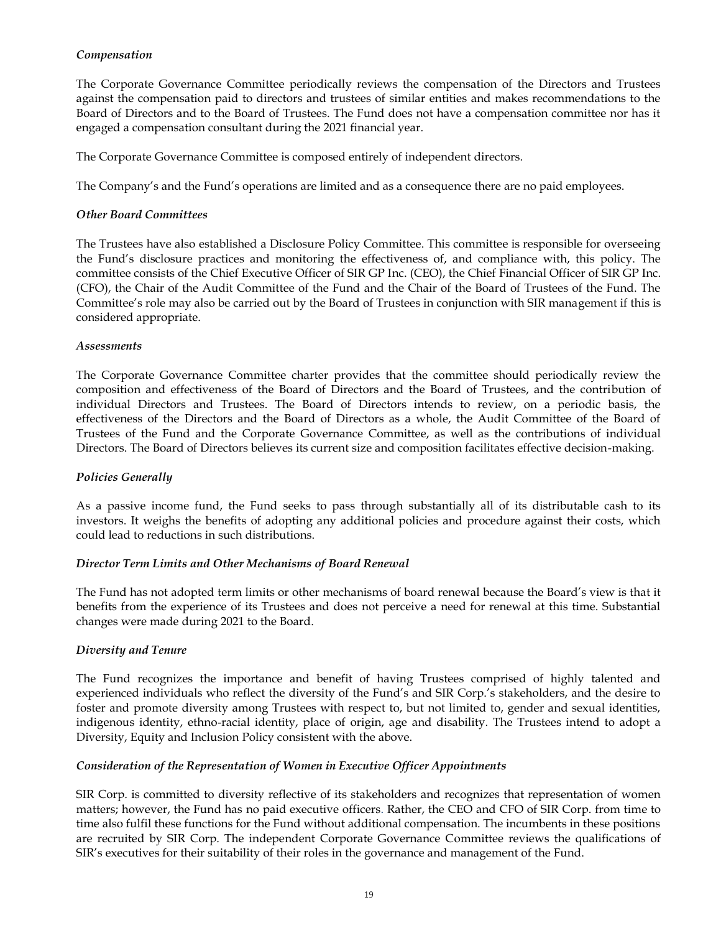## *Compensation*

The Corporate Governance Committee periodically reviews the compensation of the Directors and Trustees against the compensation paid to directors and trustees of similar entities and makes recommendations to the Board of Directors and to the Board of Trustees. The Fund does not have a compensation committee nor has it engaged a compensation consultant during the 2021 financial year.

The Corporate Governance Committee is composed entirely of independent directors.

The Company's and the Fund's operations are limited and as a consequence there are no paid employees.

#### *Other Board Committees*

The Trustees have also established a Disclosure Policy Committee. This committee is responsible for overseeing the Fund's disclosure practices and monitoring the effectiveness of, and compliance with, this policy. The committee consists of the Chief Executive Officer of SIR GP Inc. (CEO), the Chief Financial Officer of SIR GP Inc. (CFO), the Chair of the Audit Committee of the Fund and the Chair of the Board of Trustees of the Fund. The Committee's role may also be carried out by the Board of Trustees in conjunction with SIR management if this is considered appropriate.

#### *Assessments*

The Corporate Governance Committee charter provides that the committee should periodically review the composition and effectiveness of the Board of Directors and the Board of Trustees, and the contribution of individual Directors and Trustees. The Board of Directors intends to review, on a periodic basis, the effectiveness of the Directors and the Board of Directors as a whole, the Audit Committee of the Board of Trustees of the Fund and the Corporate Governance Committee, as well as the contributions of individual Directors. The Board of Directors believes its current size and composition facilitates effective decision-making.

# *Policies Generally*

As a passive income fund, the Fund seeks to pass through substantially all of its distributable cash to its investors. It weighs the benefits of adopting any additional policies and procedure against their costs, which could lead to reductions in such distributions.

### *Director Term Limits and Other Mechanisms of Board Renewal*

The Fund has not adopted term limits or other mechanisms of board renewal because the Board's view is that it benefits from the experience of its Trustees and does not perceive a need for renewal at this time. Substantial changes were made during 2021 to the Board.

#### *Diversity and Tenure*

The Fund recognizes the importance and benefit of having Trustees comprised of highly talented and experienced individuals who reflect the diversity of the Fund's and SIR Corp.'s stakeholders, and the desire to foster and promote diversity among Trustees with respect to, but not limited to, gender and sexual identities, indigenous identity, ethno-racial identity, place of origin, age and disability. The Trustees intend to adopt a Diversity, Equity and Inclusion Policy consistent with the above.

#### *Consideration of the Representation of Women in Executive Officer Appointments*

SIR Corp. is committed to diversity reflective of its stakeholders and recognizes that representation of women matters; however, the Fund has no paid executive officers. Rather, the CEO and CFO of SIR Corp. from time to time also fulfil these functions for the Fund without additional compensation. The incumbents in these positions are recruited by SIR Corp. The independent Corporate Governance Committee reviews the qualifications of SIR's executives for their suitability of their roles in the governance and management of the Fund.